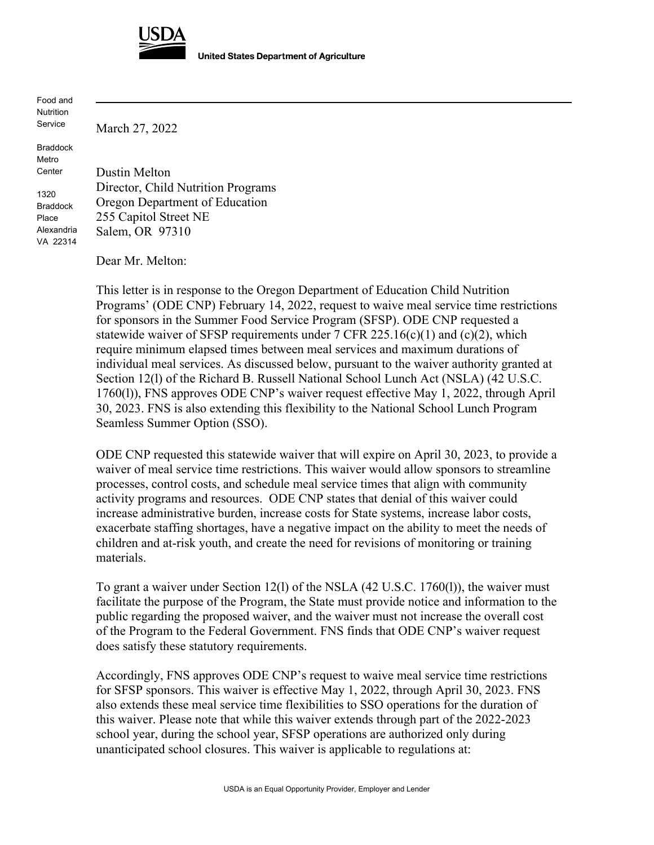

**United States Department of Agriculture** 

Food and Nutrition Service

Braddock Metro **Center** 

1320 Braddock Place Alexandria VA 22314 Dustin Melton Director, Child Nutrition Programs Oregon Department of Education 255 Capitol Street NE Salem, OR 97310

Dear Mr. Melton:

March 27, 2022

This letter is in response to the Oregon Department of Education Child Nutrition Programs' (ODE CNP) February 14, 2022, request to waive meal service time restrictions for sponsors in the Summer Food Service Program (SFSP). ODE CNP requested a statewide waiver of SFSP requirements under  $7$  CFR 225.16(c)(1) and (c)(2), which require minimum elapsed times between meal services and maximum durations of individual meal services. As discussed below, pursuant to the waiver authority granted at Section 12(l) of the Richard B. Russell National School Lunch Act (NSLA) (42 U.S.C. 1760(l)), FNS approves ODE CNP's waiver request effective May 1, 2022, through April 30, 2023. FNS is also extending this flexibility to the National School Lunch Program Seamless Summer Option (SSO).

ODE CNP requested this statewide waiver that will expire on April 30, 2023, to provide a waiver of meal service time restrictions. This waiver would allow sponsors to streamline processes, control costs, and schedule meal service times that align with community activity programs and resources. ODE CNP states that denial of this waiver could increase administrative burden, increase costs for State systems, increase labor costs, exacerbate staffing shortages, have a negative impact on the ability to meet the needs of children and at-risk youth, and create the need for revisions of monitoring or training materials.

To grant a waiver under Section 12(l) of the NSLA (42 U.S.C. 1760(l)), the waiver must facilitate the purpose of the Program, the State must provide notice and information to the public regarding the proposed waiver, and the waiver must not increase the overall cost of the Program to the Federal Government. FNS finds that ODE CNP's waiver request does satisfy these statutory requirements.

Accordingly, FNS approves ODE CNP's request to waive meal service time restrictions for SFSP sponsors. This waiver is effective May 1, 2022, through April 30, 2023. FNS also extends these meal service time flexibilities to SSO operations for the duration of this waiver. Please note that while this waiver extends through part of the 2022-2023 school year, during the school year, SFSP operations are authorized only during unanticipated school closures. This waiver is applicable to regulations at: